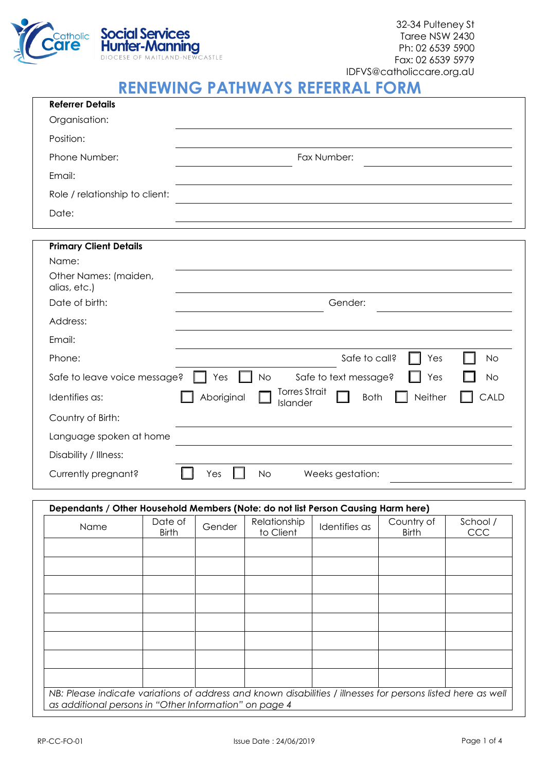

## **RENEWING PATHWAYS REFERRAL FORM**

| <b>Referrer Details</b>               |                                                                                  |
|---------------------------------------|----------------------------------------------------------------------------------|
| Organisation:                         |                                                                                  |
| Position:                             |                                                                                  |
| Phone Number:                         | Fax Number:                                                                      |
| Email:                                |                                                                                  |
| Role / relationship to client:        |                                                                                  |
| Date:                                 |                                                                                  |
|                                       |                                                                                  |
| <b>Primary Client Details</b>         |                                                                                  |
| Name:                                 |                                                                                  |
| Other Names: (maiden,<br>alias, etc.) |                                                                                  |
| Date of birth:                        | Gender:                                                                          |
| Address:                              |                                                                                  |
| Email:                                |                                                                                  |
| Phone:                                | Safe to call?<br>Yes<br>No                                                       |
| Safe to leave voice message?          | <b>No</b><br>Safe to text message?<br>Yes<br><b>No</b><br>Yes                    |
| Identifies as:                        | <b>Torres Strait</b><br>Aboriginal<br>Neither<br>CALD<br><b>Both</b><br>Islander |
| Country of Birth:                     |                                                                                  |
| Language spoken at home               |                                                                                  |
| Disability / Illness:                 |                                                                                  |
| Currently pregnant?                   | <b>No</b><br>Yes<br>Weeks gestation:                                             |

## **Dependants / Other Household Members (Note: do not list Person Causing Harm here)**

| Name                                                                                                                                                                   | Date of<br><b>Birth</b> | Gender | Relationship<br>to Client | Identifies as | Country of<br><b>Birth</b> | School /<br><b>CCC</b> |
|------------------------------------------------------------------------------------------------------------------------------------------------------------------------|-------------------------|--------|---------------------------|---------------|----------------------------|------------------------|
|                                                                                                                                                                        |                         |        |                           |               |                            |                        |
|                                                                                                                                                                        |                         |        |                           |               |                            |                        |
|                                                                                                                                                                        |                         |        |                           |               |                            |                        |
|                                                                                                                                                                        |                         |        |                           |               |                            |                        |
|                                                                                                                                                                        |                         |        |                           |               |                            |                        |
|                                                                                                                                                                        |                         |        |                           |               |                            |                        |
|                                                                                                                                                                        |                         |        |                           |               |                            |                        |
|                                                                                                                                                                        |                         |        |                           |               |                            |                        |
| NB: Please indicate variations of address and known disabilities / illnesses for persons listed here as well<br>as additional persons in "Other Information" on page 4 |                         |        |                           |               |                            |                        |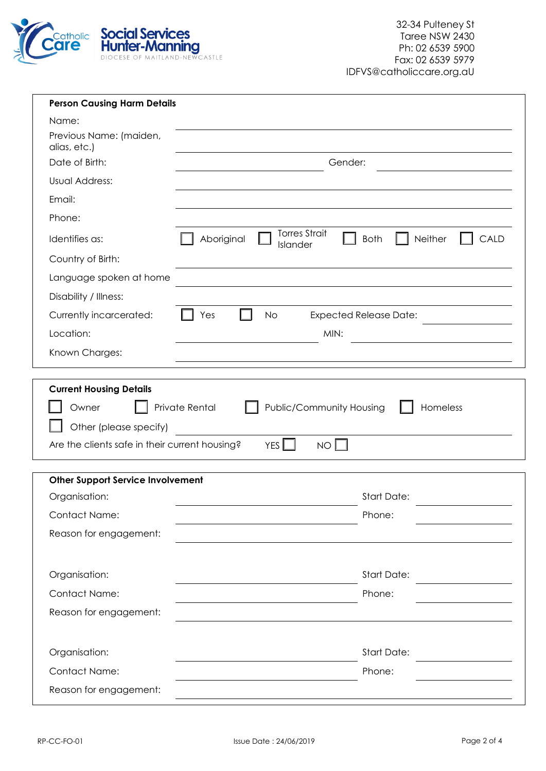

| <b>Person Causing Harm Details</b>                                                                                                                                                                                    |                                |  |  |  |
|-----------------------------------------------------------------------------------------------------------------------------------------------------------------------------------------------------------------------|--------------------------------|--|--|--|
| Name:                                                                                                                                                                                                                 |                                |  |  |  |
| Previous Name: (maiden,<br>alias, etc.)                                                                                                                                                                               |                                |  |  |  |
| Date of Birth:                                                                                                                                                                                                        | Gender:                        |  |  |  |
| <b>Usual Address:</b>                                                                                                                                                                                                 |                                |  |  |  |
| Email:                                                                                                                                                                                                                |                                |  |  |  |
| Phone:                                                                                                                                                                                                                |                                |  |  |  |
| <b>Torres Strait</b><br>Identifies as:<br>Aboriginal<br>Islander                                                                                                                                                      | Neither<br><b>Both</b><br>CALD |  |  |  |
| Country of Birth:                                                                                                                                                                                                     |                                |  |  |  |
| Language spoken at home                                                                                                                                                                                               |                                |  |  |  |
| Disability / Illness:                                                                                                                                                                                                 |                                |  |  |  |
| Currently incarcerated:<br>Yes<br><b>No</b>                                                                                                                                                                           | <b>Expected Release Date:</b>  |  |  |  |
| Location:<br>MIN:                                                                                                                                                                                                     |                                |  |  |  |
| Known Charges:                                                                                                                                                                                                        |                                |  |  |  |
|                                                                                                                                                                                                                       |                                |  |  |  |
| <b>Current Housing Details</b><br><b>Public/Community Housing</b><br>Private Rental<br>Homeless<br>Owner<br>Other (please specify)<br>Are the clients safe in their current housing?<br>YES <sup>I</sup><br><b>NO</b> |                                |  |  |  |
|                                                                                                                                                                                                                       |                                |  |  |  |
|                                                                                                                                                                                                                       |                                |  |  |  |
| <b>Other Support Service Involvement</b>                                                                                                                                                                              |                                |  |  |  |
| Organisation:                                                                                                                                                                                                         | <b>Start Date:</b>             |  |  |  |
| <b>Contact Name:</b>                                                                                                                                                                                                  | Phone:                         |  |  |  |
| Reason for engagement:                                                                                                                                                                                                |                                |  |  |  |
| Organisation:                                                                                                                                                                                                         | <b>Start Date:</b>             |  |  |  |
| Contact Name:                                                                                                                                                                                                         | Phone:                         |  |  |  |
| Reason for engagement:                                                                                                                                                                                                |                                |  |  |  |
|                                                                                                                                                                                                                       |                                |  |  |  |
| Organisation:                                                                                                                                                                                                         | <b>Start Date:</b>             |  |  |  |
| <b>Contact Name:</b>                                                                                                                                                                                                  | Phone:                         |  |  |  |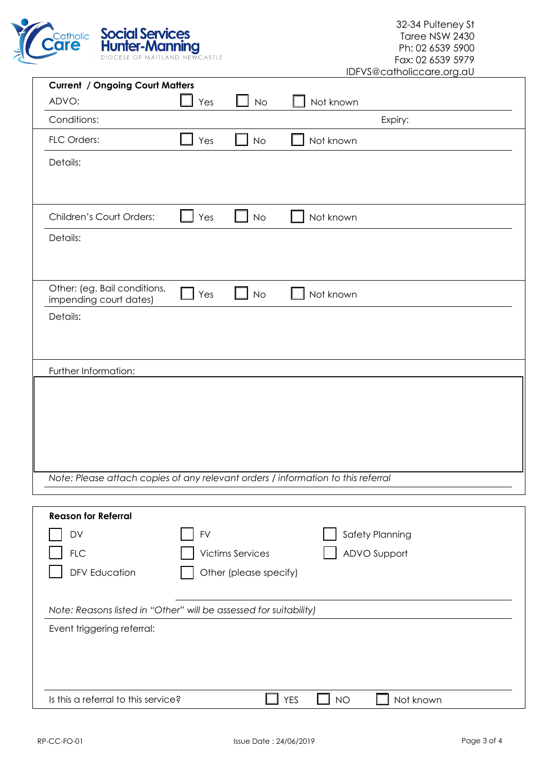

| <b>Current / Ongoing Court Matters</b>                                           |     |                         |            |                        |  |  |
|----------------------------------------------------------------------------------|-----|-------------------------|------------|------------------------|--|--|
| ADVO:                                                                            | Yes | No                      |            | Not known              |  |  |
| Conditions:                                                                      |     |                         |            | Expiry:                |  |  |
| FLC Orders:                                                                      | Yes | No                      |            | Not known              |  |  |
| Details:                                                                         |     |                         |            |                        |  |  |
|                                                                                  |     |                         |            |                        |  |  |
|                                                                                  |     |                         |            |                        |  |  |
| Children's Court Orders:                                                         | Yes | <b>No</b>               |            | Not known              |  |  |
| Details:                                                                         |     |                         |            |                        |  |  |
|                                                                                  |     |                         |            |                        |  |  |
|                                                                                  |     |                         |            |                        |  |  |
| Other: (eg. Bail conditions,<br>impending court dates)                           | Yes | <b>No</b>               |            | Not known              |  |  |
| Details:                                                                         |     |                         |            |                        |  |  |
|                                                                                  |     |                         |            |                        |  |  |
|                                                                                  |     |                         |            |                        |  |  |
| Further Information:                                                             |     |                         |            |                        |  |  |
|                                                                                  |     |                         |            |                        |  |  |
|                                                                                  |     |                         |            |                        |  |  |
|                                                                                  |     |                         |            |                        |  |  |
|                                                                                  |     |                         |            |                        |  |  |
|                                                                                  |     |                         |            |                        |  |  |
| Note: Please attach copies of any relevant orders / information to this referral |     |                         |            |                        |  |  |
|                                                                                  |     |                         |            |                        |  |  |
| <b>Reason for Referral</b>                                                       |     |                         |            |                        |  |  |
| DV                                                                               | FV  |                         |            | Safety Planning        |  |  |
| <b>FLC</b>                                                                       |     | <b>Victims Services</b> |            | ADVO Support           |  |  |
| <b>DFV Education</b>                                                             |     | Other (please specify)  |            |                        |  |  |
|                                                                                  |     |                         |            |                        |  |  |
| Note: Reasons listed in "Other" will be assessed for suitability)                |     |                         |            |                        |  |  |
| Event triggering referral:                                                       |     |                         |            |                        |  |  |
|                                                                                  |     |                         |            |                        |  |  |
|                                                                                  |     |                         |            |                        |  |  |
| Is this a referral to this service?                                              |     |                         | <b>YES</b> | Not known<br><b>NO</b> |  |  |
|                                                                                  |     |                         |            |                        |  |  |